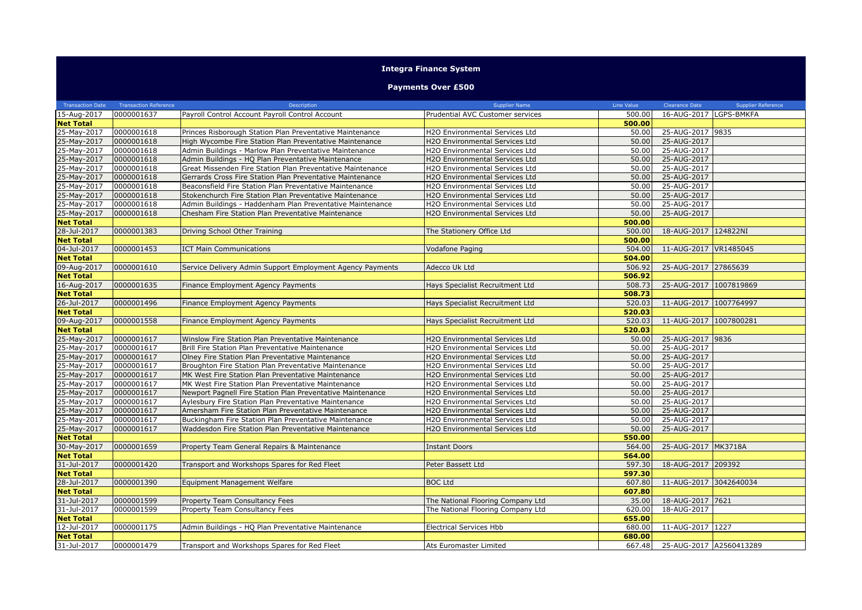## **Integra Finance System**

## **Payments Over £500**

| <b>Transaction Date</b> | <b>Transaction Reference</b> | Description                                                | <b>Supplier Name</b>              | Line Value | Clearance Date          | Supplier Reference |
|-------------------------|------------------------------|------------------------------------------------------------|-----------------------------------|------------|-------------------------|--------------------|
| 15-Aug-2017             | 0000001637                   | Payroll Control Account Payroll Control Account            | Prudential AVC Customer services  | 500.00     | 16-AUG-2017 LGPS-BMKFA  |                    |
| <b>Net Total</b>        |                              |                                                            |                                   | 500.00     |                         |                    |
| 25-May-2017             | 0000001618                   | Princes Risborough Station Plan Preventative Maintenance   | H2O Environmental Services Ltd    | 50.00      | 25-AUG-2017 9835        |                    |
| 25-May-2017             | 0000001618                   | High Wycombe Fire Station Plan Preventative Maintenance    | H2O Environmental Services Ltd    | 50.00      | 25-AUG-2017             |                    |
| 25-May-2017             | 0000001618                   | Admin Buildings - Marlow Plan Preventative Maintenance     | H2O Environmental Services Ltd    | 50.00      | 25-AUG-2017             |                    |
| 25-May-2017             | 0000001618                   | Admin Buildings - HQ Plan Preventative Maintenance         | H2O Environmental Services Ltd    | 50.00      | 25-AUG-2017             |                    |
| 25-May-2017             | 0000001618                   | Great Missenden Fire Station Plan Preventative Maintenance | H2O Environmental Services Ltd    | 50.00      | 25-AUG-2017             |                    |
| 25-May-2017             | 0000001618                   | Gerrards Cross Fire Station Plan Preventative Maintenance  | H2O Environmental Services Ltd    | 50.00      | 25-AUG-2017             |                    |
| 25-May-2017             | 0000001618                   | Beaconsfield Fire Station Plan Preventative Maintenance    | H2O Environmental Services Ltd    | 50.00      | 25-AUG-2017             |                    |
| 25-May-2017             | 0000001618                   | Stokenchurch Fire Station Plan Preventative Maintenance    | H2O Environmental Services Ltd    | 50.00      | 25-AUG-2017             |                    |
| 25-May-2017             | 0000001618                   | Admin Buildings - Haddenham Plan Preventative Maintenance  | H2O Environmental Services Ltd    | 50.00      | 25-AUG-2017             |                    |
| 25-May-2017             | 0000001618                   | Chesham Fire Station Plan Preventative Maintenance         | H2O Environmental Services Ltd    | 50.00      | 25-AUG-2017             |                    |
| <b>Net Total</b>        |                              |                                                            |                                   | 500.00     |                         |                    |
| 28-Jul-2017             | 0000001383                   | Driving School Other Training                              | The Stationery Office Ltd         | 500.00     | 18-AUG-2017 124822NI    |                    |
| <b>Net Total</b>        |                              |                                                            |                                   | 500.00     |                         |                    |
| 04-Jul-2017             | 0000001453                   | <b>ICT Main Communications</b>                             | Vodafone Paging                   | 504.00     | 11-AUG-2017 VR1485045   |                    |
| <b>Net Total</b>        |                              |                                                            |                                   | 504.00     |                         |                    |
| 09-Aug-2017             | 0000001610                   | Service Delivery Admin Support Employment Agency Payments  | Adecco Uk Ltd                     | 506.92     | 25-AUG-2017 27865639    |                    |
| <b>Net Total</b>        |                              |                                                            |                                   | 506.92     |                         |                    |
| 16-Aug-2017             | 0000001635                   | Finance Employment Agency Payments                         | Hays Specialist Recruitment Ltd   | 508.73     | 25-AUG-2017 1007819869  |                    |
| <b>Net Total</b>        |                              |                                                            |                                   | 508.73     |                         |                    |
| 26-Jul-2017             | 0000001496                   | Finance Employment Agency Payments                         | Hays Specialist Recruitment Ltd   | 520.03     | 11-AUG-2017 1007764997  |                    |
| <b>Net Total</b>        |                              |                                                            |                                   | 520.03     |                         |                    |
| 09-Aug-2017             | 0000001558                   | Finance Employment Agency Payments                         | Hays Specialist Recruitment Ltd   | 520.03     | 11-AUG-2017 1007800281  |                    |
| <b>Net Total</b>        |                              |                                                            |                                   | 520.03     |                         |                    |
| 25-May-2017             | 0000001617                   | Winslow Fire Station Plan Preventative Maintenance         | H2O Environmental Services Ltd    | 50.00      | 25-AUG-2017 9836        |                    |
| 25-May-2017             | 0000001617                   | Brill Fire Station Plan Preventative Maintenance           | H2O Environmental Services Ltd    | 50.00      | 25-AUG-2017             |                    |
| 25-May-2017             | 0000001617                   | Olney Fire Station Plan Preventative Maintenance           | H2O Environmental Services Ltd    | 50.00      | 25-AUG-2017             |                    |
| 25-May-2017             | 0000001617                   | Broughton Fire Station Plan Preventative Maintenance       | H2O Environmental Services Ltd    | 50.00      | 25-AUG-2017             |                    |
| 25-May-2017             | 0000001617                   | MK West Fire Station Plan Preventative Maintenance         | H2O Environmental Services Ltd    | 50.00      | 25-AUG-2017             |                    |
| 25-May-2017             | 0000001617                   | MK West Fire Station Plan Preventative Maintenance         | H2O Environmental Services Ltd    | 50.00      | 25-AUG-2017             |                    |
| 25-May-2017             | 0000001617                   | Newport Pagnell Fire Station Plan Preventative Maintenance | H2O Environmental Services Ltd    | 50.00      | 25-AUG-2017             |                    |
| 25-May-2017             | 0000001617                   | Aylesbury Fire Station Plan Preventative Maintenance       | H2O Environmental Services Ltd    | 50.00      | 25-AUG-2017             |                    |
| 25-May-2017             | 0000001617                   | Amersham Fire Station Plan Preventative Maintenance        | H2O Environmental Services Ltd    | 50.00      | 25-AUG-2017             |                    |
| 25-May-2017             | 0000001617                   | Buckingham Fire Station Plan Preventative Maintenance      | H2O Environmental Services Ltd    | 50.00      | 25-AUG-2017             |                    |
| 25-May-2017             | 0000001617                   | Waddesdon Fire Station Plan Preventative Maintenance       | H2O Environmental Services Ltd    | 50.00      | 25-AUG-2017             |                    |
| <b>Net Total</b>        |                              |                                                            |                                   | 550.00     |                         |                    |
| 30-May-2017             | 0000001659                   | Property Team General Repairs & Maintenance                | <b>Instant Doors</b>              | 564.00     | 25-AUG-2017 MK3718A     |                    |
| <b>Net Total</b>        |                              |                                                            |                                   | 564.00     |                         |                    |
| 31-Jul-2017             | 0000001420                   | Transport and Workshops Spares for Red Fleet               | Peter Bassett Ltd                 | 597.30     | 18-AUG-2017 209392      |                    |
| <b>Net Total</b>        |                              |                                                            |                                   | 597.30     |                         |                    |
| 28-Jul-2017             | 0000001390                   | Equipment Management Welfare                               | <b>BOC Ltd</b>                    | 607.80     | 11-AUG-2017 3042640034  |                    |
| <b>Net Total</b>        |                              |                                                            |                                   | 607.80     |                         |                    |
| 31-Jul-2017             | 0000001599                   | Property Team Consultancy Fees                             | The National Flooring Company Ltd | 35.00      | 18-AUG-2017 7621        |                    |
| 31-Jul-2017             | 0000001599                   | Property Team Consultancy Fees                             | The National Flooring Company Ltd | 620.00     | 18-AUG-2017             |                    |
| <b>Net Total</b>        |                              |                                                            |                                   | 655.00     |                         |                    |
| 12-Jul-2017             | 0000001175                   | Admin Buildings - HQ Plan Preventative Maintenance         | <b>Electrical Services Hbb</b>    | 680.00     | 11-AUG-2017 1227        |                    |
| <b>Net Total</b>        |                              |                                                            |                                   | 680.00     |                         |                    |
| 31-Jul-2017             | 0000001479                   | Transport and Workshops Spares for Red Fleet               | Ats Euromaster Limited            | 667.48     | 25-AUG-2017 A2560413289 |                    |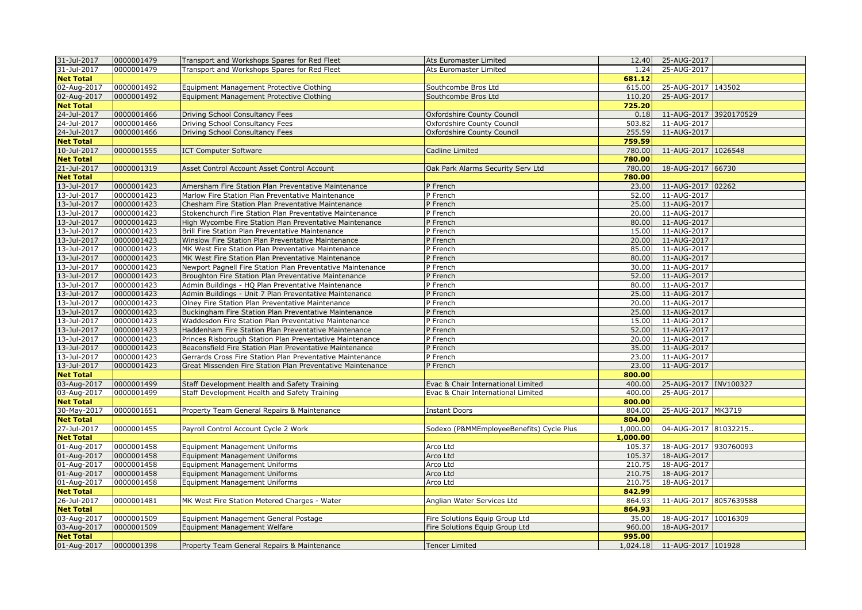| 31-Jul-2017                | 0000001479               | Transport and Workshops Spares for Red Fleet               | Ats Euromaster Limited                   | 12.40          | 25-AUG-2017            |  |
|----------------------------|--------------------------|------------------------------------------------------------|------------------------------------------|----------------|------------------------|--|
| 31-Jul-2017                | 0000001479               | Transport and Workshops Spares for Red Fleet               | Ats Euromaster Limited                   | 1.24           | 25-AUG-2017            |  |
| <b>Net Total</b>           |                          |                                                            |                                          | 681.12         |                        |  |
| 02-Aug-2017                | 0000001492               | Equipment Management Protective Clothing                   | Southcombe Bros Ltd                      | 615.00         | 25-AUG-2017 143502     |  |
| 02-Aug-2017                | 0000001492               | Equipment Management Protective Clothing                   | Southcombe Bros Ltd                      | 110.20         | 25-AUG-2017            |  |
| <b>Net Total</b>           |                          |                                                            |                                          | 725.20         |                        |  |
| 24-Jul-2017                | 0000001466               | Driving School Consultancy Fees                            | Oxfordshire County Council               | 0.18           | 11-AUG-2017 3920170529 |  |
| 24-Jul-2017                | 0000001466               | Driving School Consultancy Fees                            | Oxfordshire County Council               | 503.82         | 11-AUG-2017            |  |
| 24-Jul-2017                | 0000001466               | Driving School Consultancy Fees                            | Oxfordshire County Council               | 255.59         | 11-AUG-2017            |  |
| <b>Net Total</b>           |                          |                                                            |                                          | 759.59         |                        |  |
| 10-Jul-2017                | 0000001555               | <b>ICT Computer Software</b>                               | Cadline Limited                          | 780.00         | 11-AUG-2017 1026548    |  |
| <b>Net Total</b>           |                          |                                                            |                                          | 780.00         |                        |  |
| 21-Jul-2017                | 0000001319               | Asset Control Account Asset Control Account                | Oak Park Alarms Security Serv Ltd        | 780.00         | 18-AUG-2017 66730      |  |
| <b>Net Total</b>           |                          |                                                            |                                          | 780.00         |                        |  |
| 13-Jul-2017                | 0000001423               | Amersham Fire Station Plan Preventative Maintenance        | P French                                 | 23.00          | 11-AUG-2017 02262      |  |
| 13-Jul-2017                | 0000001423               | Marlow Fire Station Plan Preventative Maintenance          | P French                                 | 52.00          | 11-AUG-2017            |  |
| 13-Jul-2017                | 0000001423               | Chesham Fire Station Plan Preventative Maintenance         | P French                                 | 25.00          | 11-AUG-2017            |  |
| 13-Jul-2017                | 0000001423               | Stokenchurch Fire Station Plan Preventative Maintenance    | P French                                 | 20.00          | 11-AUG-2017            |  |
| 13-Jul-2017                | 0000001423               | High Wycombe Fire Station Plan Preventative Maintenance    | P French                                 | 80.00          | 11-AUG-2017            |  |
| 13-Jul-2017                | 0000001423               | Brill Fire Station Plan Preventative Maintenance           | P French                                 | 15.00          | 11-AUG-2017            |  |
| 13-Jul-2017                | 0000001423               | Winslow Fire Station Plan Preventative Maintenance         | P French                                 | 20.00          | 11-AUG-2017            |  |
| 13-Jul-2017                | 0000001423               | MK West Fire Station Plan Preventative Maintenance         | P French                                 | 85.00          | 11-AUG-2017            |  |
| 13-Jul-2017                | 0000001423               | MK West Fire Station Plan Preventative Maintenance         | P French                                 | 80.00          | 11-AUG-2017            |  |
| 13-Jul-2017                | 0000001423               | Newport Pagnell Fire Station Plan Preventative Maintenance | P French                                 | 30.00          | 11-AUG-2017            |  |
| 13-Jul-2017                | 0000001423               | Broughton Fire Station Plan Preventative Maintenance       |                                          | 52.00          | 11-AUG-2017            |  |
| 13-Jul-2017                | 0000001423               |                                                            | P French                                 | 80.00          | 11-AUG-2017            |  |
|                            | 0000001423               | Admin Buildings - HQ Plan Preventative Maintenance         | P French                                 | 25.00          | 11-AUG-2017            |  |
| 13-Jul-2017                |                          | Admin Buildings - Unit 7 Plan Preventative Maintenance     | P French                                 |                |                        |  |
| 13-Jul-2017<br>13-Jul-2017 | 0000001423<br>0000001423 | Olney Fire Station Plan Preventative Maintenance           | P French                                 | 20.00<br>25.00 | 11-AUG-2017            |  |
|                            |                          | Buckingham Fire Station Plan Preventative Maintenance      | P French                                 |                | 11-AUG-2017            |  |
| 13-Jul-2017                | 0000001423               | Waddesdon Fire Station Plan Preventative Maintenance       | P French                                 | 15.00          | 11-AUG-2017            |  |
| 13-Jul-2017                | 0000001423               | Haddenham Fire Station Plan Preventative Maintenance       | P French                                 | 52.00          | 11-AUG-2017            |  |
| 13-Jul-2017                | 0000001423               | Princes Risborough Station Plan Preventative Maintenance   | P French                                 | 20.00          | 11-AUG-2017            |  |
| 13-Jul-2017                | 0000001423               | Beaconsfield Fire Station Plan Preventative Maintenance    | P French                                 | 35.00          | 11-AUG-2017            |  |
| 13-Jul-2017                | 0000001423               | Gerrards Cross Fire Station Plan Preventative Maintenance  | P French                                 | 23.00          | 11-AUG-2017            |  |
| 13-Jul-2017                | 0000001423               | Great Missenden Fire Station Plan Preventative Maintenance | P French                                 | 23.00          | 11-AUG-2017            |  |
| <b>Net Total</b>           |                          |                                                            |                                          | 800.00         |                        |  |
| 03-Aug-2017                | 0000001499               | Staff Development Health and Safety Training               | Evac & Chair International Limited       | 400.00         | 25-AUG-2017 INV100327  |  |
| 03-Aug-2017                | 0000001499               | Staff Development Health and Safety Training               | Evac & Chair International Limited       | 400.00         | 25-AUG-2017            |  |
| <b>Net Total</b>           |                          |                                                            |                                          | 800.00         |                        |  |
| 30-May-2017                | 0000001651               | Property Team General Repairs & Maintenance                | <b>Instant Doors</b>                     | 804.00         | 25-AUG-2017 MK3719     |  |
| <b>Net Total</b>           |                          |                                                            |                                          | 804.00         |                        |  |
| 27-Jul-2017                | 0000001455               | Payroll Control Account Cycle 2 Work                       | Sodexo (P&MMEmployeeBenefits) Cycle Plus | 1,000.00       | 04-AUG-2017 81032215   |  |
| <b>Net Total</b>           |                          |                                                            |                                          | 1,000.00       |                        |  |
| 01-Aug-2017                | 0000001458               | <b>Equipment Management Uniforms</b>                       | Arco Ltd                                 | 105.37         | 18-AUG-2017 930760093  |  |
| 01-Aug-2017                | 0000001458               | <b>Equipment Management Uniforms</b>                       | Arco Ltd                                 | 105.37         | 18-AUG-2017            |  |
| 01-Aug-2017                | 0000001458               | <b>Equipment Management Uniforms</b>                       | Arco Ltd                                 | 210.75         | 18-AUG-2017            |  |
| 01-Aug-2017                | 0000001458               | <b>Equipment Management Uniforms</b>                       | Arco Ltd                                 | 210.75         | 18-AUG-2017            |  |
| 01-Aug-2017                | 0000001458               | <b>Equipment Management Uniforms</b>                       | Arco Ltd                                 | 210.75         | 18-AUG-2017            |  |
| <b>Net Total</b>           |                          |                                                            |                                          | 842.99         |                        |  |
| 26-Jul-2017                | 0000001481               | MK West Fire Station Metered Charges - Water               | Anglian Water Services Ltd               | 864.93         | 11-AUG-2017 8057639588 |  |
| <b>Net Total</b>           |                          |                                                            |                                          | 864.93         |                        |  |
| 03-Aug-2017                | 0000001509               | Equipment Management General Postage                       | Fire Solutions Equip Group Ltd           | 35.00          | 18-AUG-2017 10016309   |  |
| 03-Aug-2017                | 0000001509               | Equipment Management Welfare                               | Fire Solutions Equip Group Ltd           | 960.00         | 18-AUG-2017            |  |
| <b>Net Total</b>           |                          |                                                            |                                          | 995.00         |                        |  |
| 01-Aug-2017                | 0000001398               | Property Team General Repairs & Maintenance                | <b>Tencer Limited</b>                    | 1,024.18       | 11-AUG-2017 101928     |  |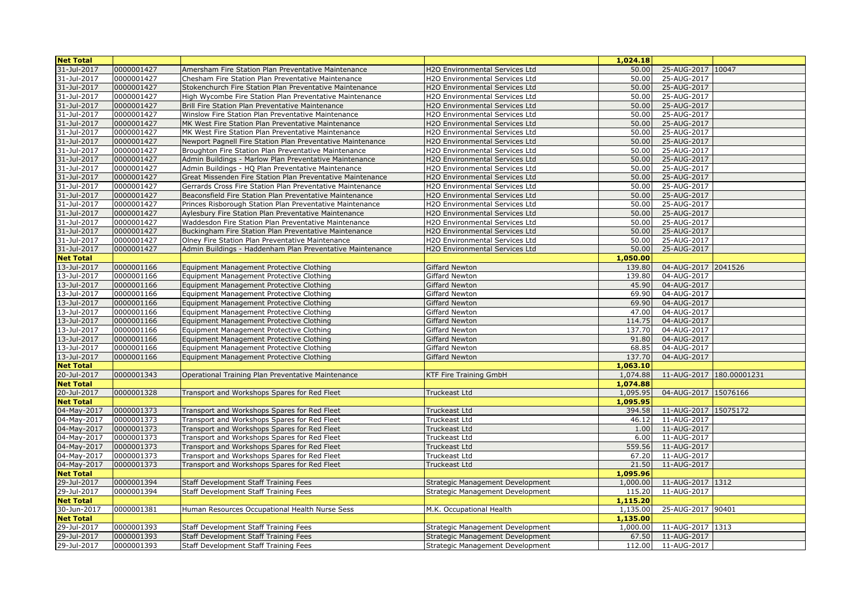| <b>Net Total</b> |            |                                                            |                                  | 1,024.18 |                          |  |
|------------------|------------|------------------------------------------------------------|----------------------------------|----------|--------------------------|--|
| 31-Jul-2017      | 0000001427 | Amersham Fire Station Plan Preventative Maintenance        | H2O Environmental Services Ltd   | 50.00    | 25-AUG-2017 10047        |  |
| 31-Jul-2017      | 0000001427 | Chesham Fire Station Plan Preventative Maintenance         | H2O Environmental Services Ltd   | 50.00    | 25-AUG-2017              |  |
| 31-Jul-2017      | 0000001427 | Stokenchurch Fire Station Plan Preventative Maintenance    | H2O Environmental Services Ltd   | 50.00    | 25-AUG-2017              |  |
| 31-Jul-2017      | 0000001427 | High Wycombe Fire Station Plan Preventative Maintenance    | H2O Environmental Services Ltd   | 50.00    | 25-AUG-2017              |  |
| 31-Jul-2017      | 0000001427 | Brill Fire Station Plan Preventative Maintenance           | H2O Environmental Services Ltd   | 50.00    | 25-AUG-2017              |  |
| 31-Jul-2017      | 0000001427 | Winslow Fire Station Plan Preventative Maintenance         | H2O Environmental Services Ltd   | 50.00    | 25-AUG-2017              |  |
| 31-Jul-2017      | 0000001427 | MK West Fire Station Plan Preventative Maintenance         | H2O Environmental Services Ltd   | 50.00    | 25-AUG-2017              |  |
| 31-Jul-2017      | 0000001427 | MK West Fire Station Plan Preventative Maintenance         | H2O Environmental Services Ltd   | 50.00    | 25-AUG-2017              |  |
| 31-Jul-2017      | 0000001427 | Newport Pagnell Fire Station Plan Preventative Maintenance | H2O Environmental Services Ltd   | 50.00    | 25-AUG-2017              |  |
| 31-Jul-2017      | 0000001427 | Broughton Fire Station Plan Preventative Maintenance       | H2O Environmental Services Ltd   | 50.00    | 25-AUG-2017              |  |
| 31-Jul-2017      | 0000001427 | Admin Buildings - Marlow Plan Preventative Maintenance     | H2O Environmental Services Ltd   | 50.00    | 25-AUG-2017              |  |
| 31-Jul-2017      | 0000001427 | Admin Buildings - HQ Plan Preventative Maintenance         | H2O Environmental Services Ltd   | 50.00    | 25-AUG-2017              |  |
| 31-Jul-2017      | 0000001427 | Great Missenden Fire Station Plan Preventative Maintenance | H2O Environmental Services Ltd   | 50.00    | 25-AUG-2017              |  |
| 31-Jul-2017      | 0000001427 | Gerrards Cross Fire Station Plan Preventative Maintenance  | H2O Environmental Services Ltd   | 50.00    | 25-AUG-2017              |  |
| 31-Jul-2017      | 0000001427 | Beaconsfield Fire Station Plan Preventative Maintenance    | H2O Environmental Services Ltd   | 50.00    | 25-AUG-2017              |  |
| 31-Jul-2017      | 0000001427 | Princes Risborough Station Plan Preventative Maintenance   | H2O Environmental Services Ltd   | 50.00    | 25-AUG-2017              |  |
| 31-Jul-2017      | 0000001427 | Aylesbury Fire Station Plan Preventative Maintenance       | H2O Environmental Services Ltd   | 50.00    | 25-AUG-2017              |  |
| 31-Jul-2017      | 0000001427 | Waddesdon Fire Station Plan Preventative Maintenance       | H2O Environmental Services Ltd   | 50.00    | 25-AUG-2017              |  |
| 31-Jul-2017      | 0000001427 | Buckingham Fire Station Plan Preventative Maintenance      | H2O Environmental Services Ltd   | 50.00    | 25-AUG-2017              |  |
| 31-Jul-2017      | 0000001427 | Olney Fire Station Plan Preventative Maintenance           | H2O Environmental Services Ltd   | 50.00    | 25-AUG-2017              |  |
| 31-Jul-2017      | 0000001427 | Admin Buildings - Haddenham Plan Preventative Maintenance  | H2O Environmental Services Ltd   | 50.00    | 25-AUG-2017              |  |
| <b>Net Total</b> |            |                                                            |                                  | 1,050.00 |                          |  |
| 13-Jul-2017      | 0000001166 | Equipment Management Protective Clothing                   | <b>Giffard Newton</b>            | 139.80   | 04-AUG-2017 2041526      |  |
| 13-Jul-2017      | 0000001166 | Equipment Management Protective Clothing                   | Giffard Newton                   | 139.80   | 04-AUG-2017              |  |
| 13-Jul-2017      | 0000001166 | Equipment Management Protective Clothing                   | <b>Giffard Newton</b>            | 45.90    | 04-AUG-2017              |  |
| 13-Jul-2017      | 0000001166 | Equipment Management Protective Clothing                   | <b>Giffard Newton</b>            | 69.90    | 04-AUG-2017              |  |
| 13-Jul-2017      | 0000001166 | Equipment Management Protective Clothing                   | <b>Giffard Newton</b>            | 69.90    | 04-AUG-2017              |  |
| 13-Jul-2017      | 0000001166 | Equipment Management Protective Clothing                   | Giffard Newton                   | 47.00    | 04-AUG-2017              |  |
| 13-Jul-2017      | 0000001166 | Equipment Management Protective Clothing                   | <b>Giffard Newton</b>            | 114.75   | 04-AUG-2017              |  |
| 13-Jul-2017      | 0000001166 | Equipment Management Protective Clothing                   | <b>Giffard Newton</b>            | 137.70   | 04-AUG-2017              |  |
| 13-Jul-2017      | 0000001166 | Equipment Management Protective Clothing                   | <b>Giffard Newton</b>            | 91.80    | 04-AUG-2017              |  |
| 13-Jul-2017      | 0000001166 | Equipment Management Protective Clothing                   | <b>Giffard Newton</b>            | 68.85    | 04-AUG-2017              |  |
| 13-Jul-2017      | 0000001166 | Equipment Management Protective Clothing                   | <b>Giffard Newton</b>            | 137.70   | 04-AUG-2017              |  |
| <b>Net Total</b> |            |                                                            |                                  | 1,063.10 |                          |  |
| 20-Jul-2017      | 0000001343 | Operational Training Plan Preventative Maintenance         | <b>KTF Fire Training GmbH</b>    | 1,074.88 | 11-AUG-2017 180.00001231 |  |
| <b>Net Total</b> |            |                                                            |                                  | 1,074.88 |                          |  |
| 20-Jul-2017      | 0000001328 | Transport and Workshops Spares for Red Fleet               | Truckeast Ltd                    | 1,095.95 | 04-AUG-2017 15076166     |  |
| <b>Net Total</b> |            |                                                            |                                  | 1,095.95 |                          |  |
| 04-May-2017      | 0000001373 | Transport and Workshops Spares for Red Fleet               | Truckeast Ltd                    | 394.58   | 11-AUG-2017 15075172     |  |
| 04-May-2017      | 0000001373 | Transport and Workshops Spares for Red Fleet               | Truckeast Ltd                    | 46.12    | 11-AUG-2017              |  |
| 04-May-2017      | 0000001373 | Transport and Workshops Spares for Red Fleet               | Truckeast Ltd                    | 1.00     | 11-AUG-2017              |  |
| 04-May-2017      | 0000001373 | Transport and Workshops Spares for Red Fleet               | Truckeast Ltd                    | 6.00     | 11-AUG-2017              |  |
| 04-May-2017      | 0000001373 | Transport and Workshops Spares for Red Fleet               | <b>Truckeast Ltd</b>             | 559.56   | 11-AUG-2017              |  |
| 04-May-2017      | 0000001373 | Transport and Workshops Spares for Red Fleet               | Truckeast Ltd                    | 67.20    | 11-AUG-2017              |  |
| 04-May-2017      | 0000001373 | Transport and Workshops Spares for Red Fleet               | Truckeast Ltd                    | 21.50    | 11-AUG-2017              |  |
| <b>Net Total</b> |            |                                                            |                                  | 1,095.96 |                          |  |
| 29-Jul-2017      | 0000001394 | Staff Development Staff Training Fees                      | Strategic Management Development | 1,000.00 | 11-AUG-2017 1312         |  |
| 29-Jul-2017      | 0000001394 | Staff Development Staff Training Fees                      | Strategic Management Development | 115.20   | 11-AUG-2017              |  |
| <b>Net Total</b> |            |                                                            |                                  | 1,115.20 |                          |  |
| 30-Jun-2017      | 0000001381 | Human Resources Occupational Health Nurse Sess             | M.K. Occupational Health         | 1,135.00 | 25-AUG-2017 90401        |  |
| <b>Net Total</b> |            |                                                            |                                  | 1,135.00 |                          |  |
| 29-Jul-2017      | 0000001393 | Staff Development Staff Training Fees                      | Strategic Management Development | 1,000.00 | 11-AUG-2017 1313         |  |
| 29-Jul-2017      | 0000001393 | Staff Development Staff Training Fees                      | Strategic Management Development | 67.50    | 11-AUG-2017              |  |
| 29-Jul-2017      | 0000001393 | Staff Development Staff Training Fees                      | Strategic Management Development | 112.00   | 11-AUG-2017              |  |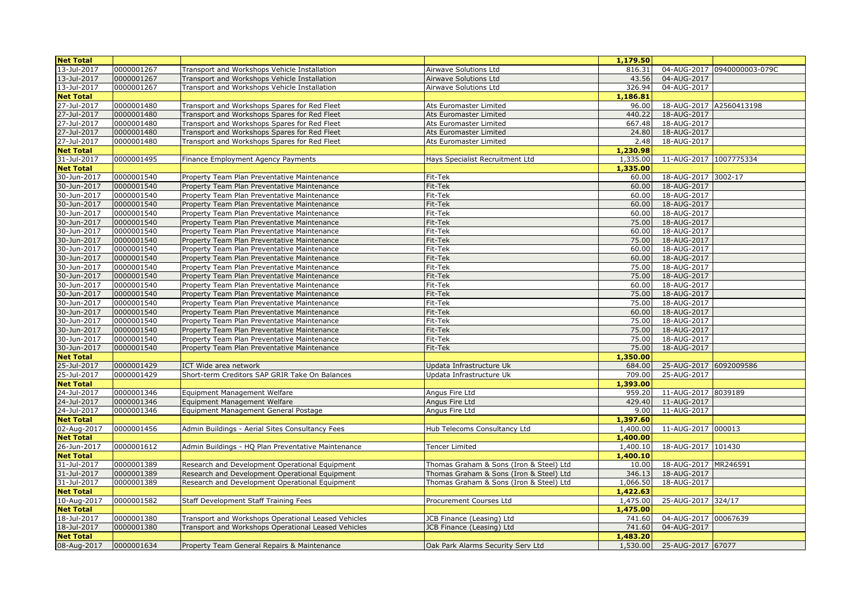| <b>Net Total</b> |            |                                                     |                                         | 1,179.50 |                           |                             |
|------------------|------------|-----------------------------------------------------|-----------------------------------------|----------|---------------------------|-----------------------------|
| 13-Jul-2017      | 0000001267 | Transport and Workshops Vehicle Installation        | Airwave Solutions Ltd                   | 816.31   |                           | 04-AUG-2017 0940000003-079C |
| 13-Jul-2017      | 0000001267 | Transport and Workshops Vehicle Installation        | Airwave Solutions Ltd                   | 43.56    | 04-AUG-2017               |                             |
| 13-Jul-2017      | 0000001267 | Transport and Workshops Vehicle Installation        | Airwave Solutions Ltd                   | 326.94   | 04-AUG-2017               |                             |
| <b>Net Total</b> |            |                                                     |                                         | 1,186.81 |                           |                             |
| 27-Jul-2017      | 0000001480 | Transport and Workshops Spares for Red Fleet        | Ats Euromaster Limited                  | 96.00    | 18-AUG-2017 A2560413198   |                             |
| 27-Jul-2017      | 0000001480 | Transport and Workshops Spares for Red Fleet        | Ats Euromaster Limited                  | 440.22   | 18-AUG-2017               |                             |
| 27-Jul-2017      | 0000001480 | Transport and Workshops Spares for Red Fleet        | Ats Euromaster Limited                  | 667.48   | 18-AUG-2017               |                             |
| 27-Jul-2017      | 0000001480 | Transport and Workshops Spares for Red Fleet        | Ats Euromaster Limited                  | 24.80    | 18-AUG-2017               |                             |
| 27-Jul-2017      | 0000001480 | Transport and Workshops Spares for Red Fleet        | Ats Euromaster Limited                  | 2.48     | 18-AUG-2017               |                             |
| <b>Net Total</b> |            |                                                     |                                         | 1,230.98 |                           |                             |
| 31-Jul-2017      | 0000001495 | Finance Employment Agency Payments                  | Hays Specialist Recruitment Ltd         | 1,335.00 | 11-AUG-2017 1007775334    |                             |
| <b>Net Total</b> |            |                                                     |                                         | 1,335.00 |                           |                             |
| 30-Jun-2017      | 0000001540 | Property Team Plan Preventative Maintenance         | Fit-Tek                                 | 60.00    | 18-AUG-2017 3002-17       |                             |
| 30-Jun-2017      | 0000001540 | Property Team Plan Preventative Maintenance         | Fit-Tek                                 | 60.00    | 18-AUG-2017               |                             |
| 30-Jun-2017      | 0000001540 | Property Team Plan Preventative Maintenance         | Fit-Tek                                 | 60.00    | 18-AUG-2017               |                             |
| 30-Jun-2017      | 0000001540 | Property Team Plan Preventative Maintenance         | Fit-Tek                                 | 60.00    | 18-AUG-2017               |                             |
| 30-Jun-2017      | 0000001540 | Property Team Plan Preventative Maintenance         | Fit-Tek                                 | 60.00    | 18-AUG-2017               |                             |
| 30-Jun-2017      | 0000001540 | Property Team Plan Preventative Maintenance         | Fit-Tek                                 | 75.00    | 18-AUG-2017               |                             |
| 30-Jun-2017      | 0000001540 | Property Team Plan Preventative Maintenance         | Fit-Tek                                 | 60.00    | 18-AUG-2017               |                             |
| 30-Jun-2017      | 0000001540 | Property Team Plan Preventative Maintenance         | Fit-Tek                                 | 75.00    | 18-AUG-2017               |                             |
| 30-Jun-2017      | 0000001540 | Property Team Plan Preventative Maintenance         | Fit-Tek                                 | 60.00    | 18-AUG-2017               |                             |
| 30-Jun-2017      | 0000001540 | Property Team Plan Preventative Maintenance         | Fit-Tek                                 | 60.00    | 18-AUG-2017               |                             |
| 30-Jun-2017      | 0000001540 | Property Team Plan Preventative Maintenance         | Fit-Tek                                 | 75.00    | 18-AUG-2017               |                             |
| 30-Jun-2017      | 0000001540 | Property Team Plan Preventative Maintenance         | Fit-Tek                                 | 75.00    | 18-AUG-2017               |                             |
| 30-Jun-2017      | 0000001540 | Property Team Plan Preventative Maintenance         | Fit-Tek                                 | 60.00    | 18-AUG-2017               |                             |
| 30-Jun-2017      | 0000001540 | Property Team Plan Preventative Maintenance         | Fit-Tek                                 | 75.00    | 18-AUG-2017               |                             |
| 30-Jun-2017      | 0000001540 | Property Team Plan Preventative Maintenance         | Fit-Tek                                 | 75.00    | 18-AUG-2017               |                             |
| 30-Jun-2017      | 0000001540 | Property Team Plan Preventative Maintenance         | Fit-Tek                                 | 60.00    | 18-AUG-2017               |                             |
| 30-Jun-2017      | 0000001540 | Property Team Plan Preventative Maintenance         | Fit-Tek                                 | 75.00    | 18-AUG-2017               |                             |
| 30-Jun-2017      | 0000001540 | Property Team Plan Preventative Maintenance         | Fit-Tek                                 | 75.00    | 18-AUG-2017               |                             |
| 30-Jun-2017      | 0000001540 | Property Team Plan Preventative Maintenance         | Fit-Tek                                 | 75.00    | 18-AUG-2017               |                             |
| 30-Jun-2017      | 0000001540 | Property Team Plan Preventative Maintenance         | Fit-Tek                                 | 75.00    | 18-AUG-2017               |                             |
| <b>Net Total</b> |            |                                                     |                                         | 1,350.00 |                           |                             |
| 25-Jul-2017      | 0000001429 | ICT Wide area network                               | Updata Infrastructure Uk                | 684.00   | 25-AUG-2017 6092009586    |                             |
| 25-Jul-2017      | 0000001429 | Short-term Creditors SAP GRIR Take On Balances      | Updata Infrastructure Uk                | 709.00   | 25-AUG-2017               |                             |
| <b>Net Total</b> |            |                                                     |                                         | 1,393.00 |                           |                             |
| 24-Jul-2017      | 0000001346 | Equipment Management Welfare                        | Angus Fire Ltd                          | 959.20   | 11-AUG-2017 8039189       |                             |
| 24-Jul-2017      | 0000001346 | Equipment Management Welfare                        | Angus Fire Ltd                          | 429.40   | 11-AUG-2017               |                             |
| 24-Jul-2017      | 0000001346 | Equipment Management General Postage                | Angus Fire Ltd                          | 9.00     | $\overline{11}$ -AUG-2017 |                             |
| <b>Net Total</b> |            |                                                     |                                         | 1,397.60 |                           |                             |
| 02-Aug-2017      | 0000001456 | Admin Buildings - Aerial Sites Consultancy Fees     | Hub Telecoms Consultancy Ltd            | 1,400.00 | 11-AUG-2017 000013        |                             |
| <b>Net Total</b> |            |                                                     |                                         | 1,400.00 |                           |                             |
| 26-Jun-2017      | 0000001612 | Admin Buildings - HQ Plan Preventative Maintenance  | Tencer Limited                          | 1,400.10 | 18-AUG-2017 101430        |                             |
| <b>Net Total</b> |            |                                                     |                                         | 1,400.10 |                           |                             |
| 31-Jul-2017      | 0000001389 | Research and Development Operational Equipment      | Thomas Graham & Sons (Iron & Steel) Ltd | 10.00    | 18-AUG-2017 MR246591      |                             |
| 31-Jul-2017      | 0000001389 | Research and Development Operational Equipment      | Thomas Graham & Sons (Iron & Steel) Ltd | 346.13   | 18-AUG-2017               |                             |
| 31-Jul-2017      | 0000001389 | Research and Development Operational Equipment      | Thomas Graham & Sons (Iron & Steel) Ltd | 1,066.50 | 18-AUG-2017               |                             |
| <b>Net Total</b> |            |                                                     |                                         | 1,422.63 |                           |                             |
| 10-Aug-2017      | 0000001582 | Staff Development Staff Training Fees               | Procurement Courses Ltd                 | 1,475.00 | 25-AUG-2017 324/17        |                             |
| <b>Net Total</b> |            |                                                     |                                         | 1,475.00 |                           |                             |
| 18-Jul-2017      | 0000001380 | Transport and Workshops Operational Leased Vehicles | JCB Finance (Leasing) Ltd               | 741.60   | 04-AUG-2017 00067639      |                             |
| 18-Jul-2017      | 0000001380 | Transport and Workshops Operational Leased Vehicles | JCB Finance (Leasing) Ltd               | 741.60   | 04-AUG-2017               |                             |
| <b>Net Total</b> |            |                                                     |                                         | 1,483.20 |                           |                             |
| 08-Aug-2017      | 0000001634 | Property Team General Repairs & Maintenance         | Oak Park Alarms Security Serv Ltd       | 1,530.00 | 25-AUG-2017 67077         |                             |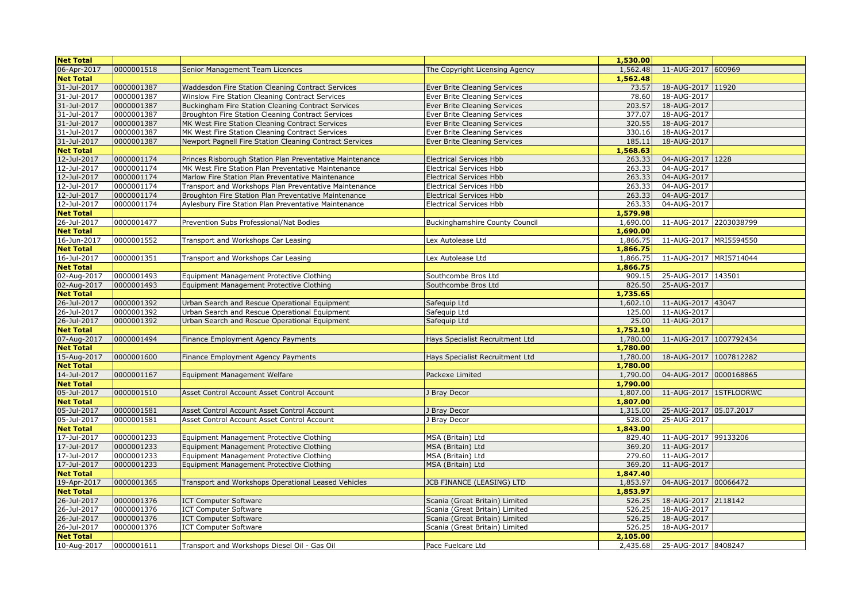| <b>Net Total</b>                |            |                                                          |                                       | 1,530.00             |                        |  |
|---------------------------------|------------|----------------------------------------------------------|---------------------------------------|----------------------|------------------------|--|
| 06-Apr-2017                     | 0000001518 | Senior Management Team Licences                          | The Copyright Licensing Agency        | 1,562.48             | 11-AUG-2017 600969     |  |
| <b>Net Total</b>                |            |                                                          |                                       | 1,562.48             |                        |  |
| 31-Jul-2017                     | 0000001387 | Waddesdon Fire Station Cleaning Contract Services        | <b>Ever Brite Cleaning Services</b>   | 73.57                | 18-AUG-2017 11920      |  |
| 31-Jul-2017                     | 0000001387 | Winslow Fire Station Cleaning Contract Services          | Ever Brite Cleaning Services          | 78.60                | 18-AUG-2017            |  |
| 31-Jul-2017                     | 0000001387 | Buckingham Fire Station Cleaning Contract Services       | Ever Brite Cleaning Services          | 203.57               | 18-AUG-2017            |  |
| 31-Jul-2017                     | 0000001387 | Broughton Fire Station Cleaning Contract Services        | Ever Brite Cleaning Services          | 377.07               | 18-AUG-2017            |  |
| 31-Jul-2017                     | 0000001387 | MK West Fire Station Cleaning Contract Services          | Ever Brite Cleaning Services          | 320.55               | 18-AUG-2017            |  |
| 31-Jul-2017                     | 0000001387 | MK West Fire Station Cleaning Contract Services          | Ever Brite Cleaning Services          | 330.16               | 18-AUG-2017            |  |
| 31-Jul-2017                     | 0000001387 | Newport Pagnell Fire Station Cleaning Contract Services  | Ever Brite Cleaning Services          | 185.11               | 18-AUG-2017            |  |
| <b>Net Total</b>                |            |                                                          |                                       | 1,568.63             |                        |  |
| 12-Jul-2017                     | 0000001174 | Princes Risborough Station Plan Preventative Maintenance | <b>Electrical Services Hbb</b>        | 263.33               | 04-AUG-2017 1228       |  |
| 12-Jul-2017                     | 0000001174 | MK West Fire Station Plan Preventative Maintenance       | <b>Electrical Services Hbb</b>        | 263.33               | 04-AUG-2017            |  |
| 12-Jul-2017                     | 0000001174 | Marlow Fire Station Plan Preventative Maintenance        | <b>Electrical Services Hbb</b>        | 263.33               | 04-AUG-2017            |  |
| 12-Jul-2017                     | 0000001174 | Transport and Workshops Plan Preventative Maintenance    | <b>Electrical Services Hbb</b>        | 263.33               | 04-AUG-2017            |  |
| 12-Jul-2017                     | 0000001174 | Broughton Fire Station Plan Preventative Maintenance     | <b>Electrical Services Hbb</b>        | 263.33               | 04-AUG-2017            |  |
| 12-Jul-2017                     | 0000001174 | Aylesbury Fire Station Plan Preventative Maintenance     | <b>Electrical Services Hbb</b>        | 263.33               | 04-AUG-2017            |  |
| <b>Net Total</b>                |            |                                                          |                                       | 1,579.98             |                        |  |
| 26-Jul-2017                     | 0000001477 | Prevention Subs Professional/Nat Bodies                  | <b>Buckinghamshire County Council</b> | 1,690.00             | 11-AUG-2017 2203038799 |  |
| <b>Net Total</b>                |            |                                                          |                                       | 1,690.00             |                        |  |
| 16-Jun-2017                     | 0000001552 | Transport and Workshops Car Leasing                      | Lex Autolease Ltd                     | 1,866.75             | 11-AUG-2017 MRI5594550 |  |
| <b>Net Total</b>                |            |                                                          |                                       | 1,866.75             |                        |  |
| 16-Jul-2017                     | 0000001351 | Transport and Workshops Car Leasing                      | Lex Autolease Ltd                     | 1,866.75             | 11-AUG-2017 MRI5714044 |  |
| <b>Net Total</b>                |            |                                                          |                                       | 1,866.75             |                        |  |
| 02-Aug-2017                     | 0000001493 | Equipment Management Protective Clothing                 | Southcombe Bros Ltd                   | 909.15               | 25-AUG-2017 143501     |  |
| 02-Aug-2017                     | 0000001493 | Equipment Management Protective Clothing                 | Southcombe Bros Ltd                   | 826.50               | 25-AUG-2017            |  |
| <b>Net Total</b>                |            |                                                          |                                       | 1,735.65             |                        |  |
| 26-Jul-2017                     | 0000001392 | Urban Search and Rescue Operational Equipment            | Safequip Ltd                          | 1,602.10             | 11-AUG-2017 43047      |  |
| 26-Jul-2017                     | 0000001392 | Urban Search and Rescue Operational Equipment            | Safequip Ltd                          | 125.00               | 11-AUG-2017            |  |
| 26-Jul-2017                     | 0000001392 | Urban Search and Rescue Operational Equipment            | Safequip Ltd                          | 25.00                | 11-AUG-2017            |  |
| <b>Net Total</b>                |            |                                                          |                                       | 1,752.10             |                        |  |
| 07-Aug-2017                     | 0000001494 | Finance Employment Agency Payments                       | Hays Specialist Recruitment Ltd       | 1,780.00             | 11-AUG-2017 1007792434 |  |
| <b>Net Total</b>                |            |                                                          |                                       | 1,780.00             |                        |  |
| 15-Aug-2017                     | 0000001600 | Finance Employment Agency Payments                       | Hays Specialist Recruitment Ltd       | 1,780.00             | 18-AUG-2017 1007812282 |  |
| <b>Net Total</b><br>14-Jul-2017 | 0000001167 |                                                          |                                       | 1,780.00<br>1,790.00 | 04-AUG-2017 0000168865 |  |
| <b>Net Total</b>                |            | Equipment Management Welfare                             | Packexe Limited                       | 1,790.00             |                        |  |
| 05-Jul-2017                     | 0000001510 | Asset Control Account Asset Control Account              | <b>Bray Decor</b>                     | 1,807.00             | 11-AUG-2017 1STFLOORWC |  |
| <b>Net Total</b>                |            |                                                          |                                       | 1,807.00             |                        |  |
| 05-Jul-2017                     | 0000001581 | Asset Control Account Asset Control Account              | J Bray Decor                          | 1,315.00             | 25-AUG-2017 05.07.2017 |  |
| 05-Jul-2017                     | 0000001581 | Asset Control Account Asset Control Account              | J Bray Decor                          | 528.00               | 25-AUG-2017            |  |
| <b>Net Total</b>                |            |                                                          |                                       | 1,843.00             |                        |  |
| 17-Jul-2017                     | 0000001233 | Equipment Management Protective Clothing                 | MSA (Britain) Ltd                     | 829.40               | 11-AUG-2017 99133206   |  |
| 17-Jul-2017                     | 0000001233 | Equipment Management Protective Clothing                 | MSA (Britain) Ltd                     | 369.20               | 11-AUG-2017            |  |
| 17-Jul-2017                     | 0000001233 | Equipment Management Protective Clothing                 | MSA (Britain) Ltd                     | 279.60               | 11-AUG-2017            |  |
| 17-Jul-2017                     | 0000001233 | Equipment Management Protective Clothing                 | MSA (Britain) Ltd                     | 369.20               | 11-AUG-2017            |  |
| <b>Net Total</b>                |            |                                                          |                                       | 1,847.40             |                        |  |
| 19-Apr-2017                     | 0000001365 | Transport and Workshops Operational Leased Vehicles      | JCB FINANCE (LEASING) LTD             | 1,853.97             | 04-AUG-2017 00066472   |  |
| <b>Net Total</b>                |            |                                                          |                                       | 1,853.97             |                        |  |
| 26-Jul-2017                     | 0000001376 | <b>ICT Computer Software</b>                             | Scania (Great Britain) Limited        | 526.25               | 18-AUG-2017 2118142    |  |
| 26-Jul-2017                     | 0000001376 | <b>ICT Computer Software</b>                             | Scania (Great Britain) Limited        | 526.25               | 18-AUG-2017            |  |
| 26-Jul-2017                     | 0000001376 | <b>ICT Computer Software</b>                             | Scania (Great Britain) Limited        | 526.25               | 18-AUG-2017            |  |
| 26-Jul-2017                     | 0000001376 | <b>ICT Computer Software</b>                             | Scania (Great Britain) Limited        | 526.25               | 18-AUG-2017            |  |
| <b>Net Total</b>                |            |                                                          |                                       | 2,105.00             |                        |  |
| 10-Aug-2017                     | 0000001611 | Transport and Workshops Diesel Oil - Gas Oil             | Pace Fuelcare Ltd                     | 2,435.68             | 25-AUG-2017 8408247    |  |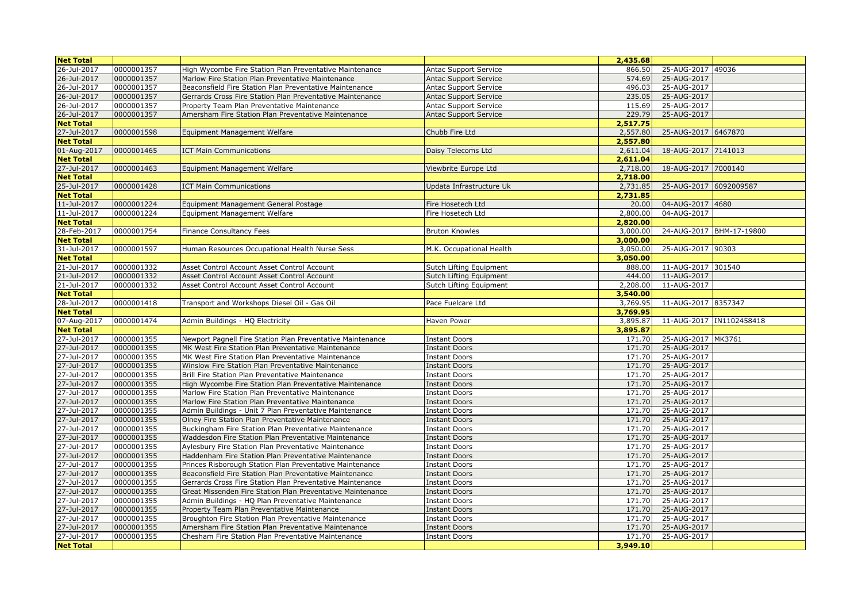| <b>Net Total</b> |            |                                                            |                              | 2,435.68 |                        |                           |
|------------------|------------|------------------------------------------------------------|------------------------------|----------|------------------------|---------------------------|
| 26-Jul-2017      | 0000001357 | High Wycombe Fire Station Plan Preventative Maintenance    | <b>Antac Support Service</b> | 866.50   | 25-AUG-2017 49036      |                           |
| 26-Jul-2017      | 0000001357 | Marlow Fire Station Plan Preventative Maintenance          | <b>Antac Support Service</b> | 574.69   | 25-AUG-2017            |                           |
| 26-Jul-2017      | 0000001357 | Beaconsfield Fire Station Plan Preventative Maintenance    | <b>Antac Support Service</b> | 496.03   | 25-AUG-2017            |                           |
| 26-Jul-2017      | 0000001357 | Gerrards Cross Fire Station Plan Preventative Maintenance  | <b>Antac Support Service</b> | 235.05   | 25-AUG-2017            |                           |
| 26-Jul-2017      | 0000001357 | Property Team Plan Preventative Maintenance                | <b>Antac Support Service</b> | 115.69   | 25-AUG-2017            |                           |
| 26-Jul-2017      | 0000001357 | Amersham Fire Station Plan Preventative Maintenance        | <b>Antac Support Service</b> | 229.79   | 25-AUG-2017            |                           |
| <b>Net Total</b> |            |                                                            |                              | 2,517.75 |                        |                           |
| 27-Jul-2017      | 0000001598 | Equipment Management Welfare                               | Chubb Fire Ltd               | 2,557.80 | 25-AUG-2017 6467870    |                           |
| <b>Net Total</b> |            |                                                            |                              | 2,557.80 |                        |                           |
| 01-Aug-2017      | 0000001465 | <b>ICT Main Communications</b>                             | Daisy Telecoms Ltd           | 2,611.04 | 18-AUG-2017 7141013    |                           |
| <b>Net Total</b> |            |                                                            |                              | 2,611.04 |                        |                           |
| 27-Jul-2017      | 0000001463 | Equipment Management Welfare                               | Viewbrite Europe Ltd         | 2,718.00 | 18-AUG-2017 7000140    |                           |
| <b>Net Total</b> |            |                                                            |                              | 2,718.00 |                        |                           |
| 25-Jul-2017      | 0000001428 | <b>ICT Main Communications</b>                             | Updata Infrastructure Uk     | 2,731.85 | 25-AUG-2017 6092009587 |                           |
| <b>Net Total</b> |            |                                                            |                              | 2,731.85 |                        |                           |
| 11-Jul-2017      | 0000001224 | Equipment Management General Postage                       | Fire Hosetech Ltd            | 20.00    | 04-AUG-2017 4680       |                           |
| 11-Jul-2017      | 0000001224 | Equipment Management Welfare                               | Fire Hosetech Ltd            | 2,800.00 | 04-AUG-2017            |                           |
| <b>Net Total</b> |            |                                                            |                              | 2,820.00 |                        |                           |
| 28-Feb-2017      | 0000001754 | Finance Consultancy Fees                                   | <b>Bruton Knowles</b>        | 3,000.00 |                        | 24-AUG-2017 BHM-17-19800  |
| <b>Net Total</b> |            |                                                            |                              | 3,000.00 |                        |                           |
| 31-Jul-2017      | 0000001597 | Human Resources Occupational Health Nurse Sess             | M.K. Occupational Health     | 3,050.00 | 25-AUG-2017 90303      |                           |
| <b>Net Total</b> |            |                                                            |                              | 3,050.00 |                        |                           |
| 21-Jul-2017      | 0000001332 | Asset Control Account Asset Control Account                | Sutch Lifting Equipment      | 888.00   | 11-AUG-2017 301540     |                           |
| 21-Jul-2017      | 0000001332 | Asset Control Account Asset Control Account                | Sutch Lifting Equipment      | 444.00   | 11-AUG-2017            |                           |
| 21-Jul-2017      | 0000001332 | Asset Control Account Asset Control Account                | Sutch Lifting Equipment      | 2,208.00 | 11-AUG-2017            |                           |
| <b>Net Total</b> |            |                                                            |                              | 3,540.00 |                        |                           |
| 28-Jul-2017      | 0000001418 | Transport and Workshops Diesel Oil - Gas Oil               | Pace Fuelcare Ltd            | 3,769.95 | 11-AUG-2017 8357347    |                           |
| <b>Net Total</b> |            |                                                            |                              | 3,769.95 |                        |                           |
| 07-Aug-2017      | 0000001474 | Admin Buildings - HQ Electricity                           | Haven Power                  | 3,895.87 |                        | 11-AUG-2017  IN1102458418 |
| <b>Net Total</b> |            |                                                            |                              | 3,895.87 |                        |                           |
| 27-Jul-2017      | 0000001355 | Newport Pagnell Fire Station Plan Preventative Maintenance | <b>Instant Doors</b>         | 171.70   | 25-AUG-2017 MK3761     |                           |
| 27-Jul-2017      | 0000001355 | MK West Fire Station Plan Preventative Maintenance         | <b>Instant Doors</b>         | 171.70   | 25-AUG-2017            |                           |
| 27-Jul-2017      | 0000001355 | MK West Fire Station Plan Preventative Maintenance         | <b>Instant Doors</b>         | 171.70   | 25-AUG-2017            |                           |
| 27-Jul-2017      | 0000001355 | Winslow Fire Station Plan Preventative Maintenance         | <b>Instant Doors</b>         | 171.70   | 25-AUG-2017            |                           |
| 27-Jul-2017      | 0000001355 | Brill Fire Station Plan Preventative Maintenance           | <b>Instant Doors</b>         | 171.70   | 25-AUG-2017            |                           |
| 27-Jul-2017      | 0000001355 | High Wycombe Fire Station Plan Preventative Maintenance    | <b>Instant Doors</b>         | 171.70   | 25-AUG-2017            |                           |
| 27-Jul-2017      | 0000001355 | Marlow Fire Station Plan Preventative Maintenance          | <b>Instant Doors</b>         | 171.70   | 25-AUG-2017            |                           |
| 27-Jul-2017      | 0000001355 | Marlow Fire Station Plan Preventative Maintenance          | <b>Instant Doors</b>         | 171.70   | 25-AUG-2017            |                           |
| 27-Jul-2017      | 0000001355 | Admin Buildings - Unit 7 Plan Preventative Maintenance     | <b>Instant Doors</b>         | 171.70   | 25-AUG-2017            |                           |
| 27-Jul-2017      | 0000001355 | Olney Fire Station Plan Preventative Maintenance           | <b>Instant Doors</b>         | 171.70   | 25-AUG-2017            |                           |
| 27-Jul-2017      | 0000001355 | Buckingham Fire Station Plan Preventative Maintenance      | <b>Instant Doors</b>         | 171.70   | 25-AUG-2017            |                           |
| 27-Jul-2017      | 0000001355 | Waddesdon Fire Station Plan Preventative Maintenance       | <b>Instant Doors</b>         | 171.70   | 25-AUG-2017            |                           |
| 27-Jul-2017      | 0000001355 | Aylesbury Fire Station Plan Preventative Maintenance       | <b>Instant Doors</b>         | 171.70   | 25-AUG-2017            |                           |
| 27-Jul-2017      | 0000001355 | Haddenham Fire Station Plan Preventative Maintenance       | <b>Instant Doors</b>         | 171.70   | 25-AUG-2017            |                           |
| 27-Jul-2017      | 0000001355 | Princes Risborough Station Plan Preventative Maintenance   | <b>Instant Doors</b>         | 171.70   | 25-AUG-2017            |                           |
| 27-Jul-2017      | 0000001355 | Beaconsfield Fire Station Plan Preventative Maintenance    | <b>Instant Doors</b>         | 171.70   | 25-AUG-2017            |                           |
| 27-Jul-2017      | 0000001355 | Gerrards Cross Fire Station Plan Preventative Maintenance  | <b>Instant Doors</b>         | 171.70   | 25-AUG-2017            |                           |
| 27-Jul-2017      | 0000001355 | Great Missenden Fire Station Plan Preventative Maintenance | <b>Instant Doors</b>         | 171.70   | 25-AUG-2017            |                           |
| 27-Jul-2017      | 0000001355 | Admin Buildings - HQ Plan Preventative Maintenance         | <b>Instant Doors</b>         | 171.70   | 25-AUG-2017            |                           |
| 27-Jul-2017      | 0000001355 | Property Team Plan Preventative Maintenance                | <b>Instant Doors</b>         | 171.70   | 25-AUG-2017            |                           |
| 27-Jul-2017      | 0000001355 | Broughton Fire Station Plan Preventative Maintenance       | <b>Instant Doors</b>         | 171.70   | 25-AUG-2017            |                           |
| 27-Jul-2017      | 0000001355 | Amersham Fire Station Plan Preventative Maintenance        | <b>Instant Doors</b>         | 171.70   | 25-AUG-2017            |                           |
| 27-Jul-2017      | 0000001355 | Chesham Fire Station Plan Preventative Maintenance         | <b>Instant Doors</b>         | 171.70   | 25-AUG-2017            |                           |
| <b>Net Total</b> |            |                                                            |                              | 3,949.10 |                        |                           |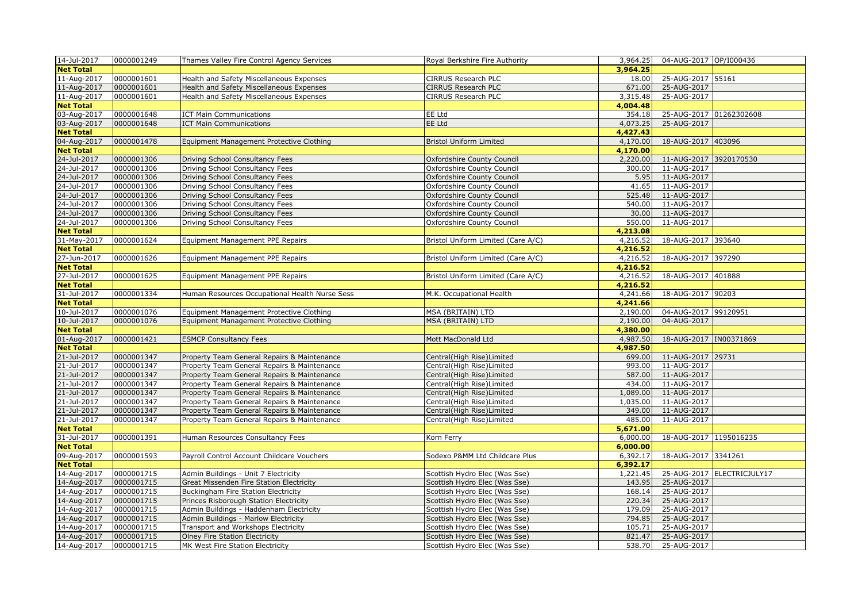| 14-Jul-2017      | 0000001249 | Thames Valley Fire Control Agency Services     | Royal Berkshire Fire Authority     | 3,964.25 | 04-AUG-2017 OP/I000436  |                            |
|------------------|------------|------------------------------------------------|------------------------------------|----------|-------------------------|----------------------------|
| <b>Net Total</b> |            |                                                |                                    | 3,964.25 |                         |                            |
| 11-Aug-2017      | 0000001601 | Health and Safety Miscellaneous Expenses       | <b>CIRRUS Research PLC</b>         | 18.00    | 25-AUG-2017 55161       |                            |
| 11-Aug-2017      | 0000001601 | Health and Safety Miscellaneous Expenses       | <b>CIRRUS Research PLC</b>         | 671.00   | 25-AUG-2017             |                            |
| 11-Aug-2017      | 0000001601 | Health and Safety Miscellaneous Expenses       | <b>CIRRUS Research PLC</b>         | 3,315.48 | 25-AUG-2017             |                            |
| <b>Net Total</b> |            |                                                |                                    | 4,004.48 |                         |                            |
| 03-Aug-2017      | 0000001648 | <b>ICT Main Communications</b>                 | <b>EE Ltd</b>                      | 354.18   | 25-AUG-2017 01262302608 |                            |
| 03-Aug-2017      | 0000001648 | <b>ICT Main Communications</b>                 | <b>EE Ltd</b>                      | 4,073.25 | 25-AUG-2017             |                            |
| <b>Net Total</b> |            |                                                |                                    | 4,427.43 |                         |                            |
| 04-Aug-2017      | 0000001478 | Equipment Management Protective Clothing       | <b>Bristol Uniform Limited</b>     | 4,170.00 | 18-AUG-2017 403096      |                            |
| <b>Net Total</b> |            |                                                |                                    | 4,170.00 |                         |                            |
| 24-Jul-2017      | 0000001306 | Driving School Consultancy Fees                | Oxfordshire County Council         | 2,220,00 | 11-AUG-2017 3920170530  |                            |
| 24-Jul-2017      | 0000001306 | Driving School Consultancy Fees                | Oxfordshire County Council         | 300.00   | 11-AUG-2017             |                            |
| 24-Jul-2017      | 0000001306 | Driving School Consultancy Fees                | Oxfordshire County Council         | 5.95     | 11-AUG-2017             |                            |
| 24-Jul-2017      | 0000001306 | Driving School Consultancy Fees                | Oxfordshire County Council         | 41.65    | 11-AUG-2017             |                            |
| 24-Jul-2017      | 0000001306 | Driving School Consultancy Fees                | Oxfordshire County Council         | 525.48   | 11-AUG-2017             |                            |
| 24-Jul-2017      | 0000001306 | Driving School Consultancy Fees                | Oxfordshire County Council         | 540.00   | 11-AUG-2017             |                            |
| 24-Jul-2017      | 0000001306 | Driving School Consultancy Fees                | Oxfordshire County Council         | 30.00    | 11-AUG-2017             |                            |
| 24-Jul-2017      | 0000001306 | Driving School Consultancy Fees                | Oxfordshire County Council         | 550.00   | 11-AUG-2017             |                            |
| <b>Net Total</b> |            |                                                |                                    | 4,213.08 |                         |                            |
| 31-May-2017      | 0000001624 | Equipment Management PPE Repairs               | Bristol Uniform Limited (Care A/C) | 4,216.52 | 18-AUG-2017 393640      |                            |
| <b>Net Total</b> |            |                                                |                                    | 4,216.52 |                         |                            |
| 27-Jun-2017      | 0000001626 | Equipment Management PPE Repairs               | Bristol Uniform Limited (Care A/C) | 4,216.52 | 18-AUG-2017 397290      |                            |
| <b>Net Total</b> |            |                                                |                                    | 4,216.52 |                         |                            |
| 27-Jul-2017      | 0000001625 | Equipment Management PPE Repairs               | Bristol Uniform Limited (Care A/C) | 4,216.52 | 18-AUG-2017 401888      |                            |
| <b>Net Total</b> |            |                                                |                                    | 4,216.52 |                         |                            |
| 31-Jul-2017      | 0000001334 | Human Resources Occupational Health Nurse Sess | M.K. Occupational Health           | 4,241.66 | 18-AUG-2017 90203       |                            |
| <b>Net Total</b> |            |                                                |                                    | 4,241.66 |                         |                            |
| 10-Jul-2017      | 0000001076 | Equipment Management Protective Clothing       | MSA (BRITAIN) LTD                  | 2,190.00 | 04-AUG-2017 99120951    |                            |
| 10-Jul-2017      | 0000001076 | Equipment Management Protective Clothing       | <b>MSA (BRITAIN) LTD</b>           | 2,190.00 | 04-AUG-2017             |                            |
| <b>Net Total</b> |            |                                                |                                    | 4,380.00 |                         |                            |
| 01-Aug-2017      | 0000001421 | <b>ESMCP Consultancy Fees</b>                  | Mott MacDonald Ltd                 | 4,987.50 | 18-AUG-2017 IN00371869  |                            |
| <b>Net Total</b> |            |                                                |                                    | 4,987.50 |                         |                            |
| 21-Jul-2017      | 0000001347 | Property Team General Repairs & Maintenance    | Central(High Rise)Limited          | 699.00   | 11-AUG-2017 29731       |                            |
| 21-Jul-2017      | 0000001347 | Property Team General Repairs & Maintenance    | Central(High Rise)Limited          | 993.00   | 11-AUG-2017             |                            |
| 21-Jul-2017      | 0000001347 | Property Team General Repairs & Maintenance    | Central(High Rise)Limited          | 587.00   | 11-AUG-2017             |                            |
| 21-Jul-2017      | 0000001347 | Property Team General Repairs & Maintenance    | Central(High Rise)Limited          | 434.00   | 11-AUG-2017             |                            |
| 21-Jul-2017      | 0000001347 | Property Team General Repairs & Maintenance    | Central(High Rise)Limited          | 1,089.00 | 11-AUG-2017             |                            |
| 21-Jul-2017      | 0000001347 | Property Team General Repairs & Maintenance    | Central(High Rise)Limited          | 1,035.00 | 11-AUG-2017             |                            |
| 21-Jul-2017      | 0000001347 | Property Team General Repairs & Maintenance    | Central(High Rise)Limited          | 349.00   | 11-AUG-2017             |                            |
| 21-Jul-2017      | 0000001347 | Property Team General Repairs & Maintenance    | Central(High Rise)Limited          | 485.00   | 11-AUG-2017             |                            |
| <b>Net Total</b> |            |                                                |                                    | 5,671.00 |                         |                            |
| 31-Jul-2017      | 0000001391 | Human Resources Consultancy Fees               | Korn Ferry                         | 6,000.00 | 18-AUG-2017 1195016235  |                            |
| <b>Net Total</b> |            |                                                |                                    | 6,000.00 |                         |                            |
| 09-Aug-2017      | 0000001593 | Payroll Control Account Childcare Vouchers     | Sodexo P&MM Ltd Childcare Plus     | 6,392.17 | 18-AUG-2017 3341261     |                            |
| <b>Net Total</b> |            |                                                |                                    | 6,392.17 |                         |                            |
| 14-Aug-2017      | 0000001715 | Admin Buildings - Unit 7 Electricity           | Scottish Hydro Elec (Was Sse)      | 1,221.45 |                         | 25-AUG-2017 ELECTRICJULY17 |
| 14-Aug-2017      | 0000001715 | Great Missenden Fire Station Electricity       | Scottish Hydro Elec (Was Sse)      | 143.95   | 25-AUG-2017             |                            |
| 14-Aug-2017      | 0000001715 | <b>Buckingham Fire Station Electricity</b>     | Scottish Hydro Elec (Was Sse)      | 168.14   | 25-AUG-2017             |                            |
| 14-Aug-2017      | 0000001715 | Princes Risborough Station Electricity         | Scottish Hydro Elec (Was Sse)      | 220.34   | 25-AUG-2017             |                            |
| 14-Aug-2017      | 0000001715 | Admin Buildings - Haddenham Electricity        | Scottish Hydro Elec (Was Sse)      | 179.09   | 25-AUG-2017             |                            |
| 14-Aug-2017      | 0000001715 | Admin Buildings - Marlow Electricity           | Scottish Hydro Elec (Was Sse)      | 794.85   | 25-AUG-2017             |                            |
| 14-Aug-2017      | 0000001715 | Transport and Workshops Electricity            | Scottish Hydro Elec (Was Sse)      | 105.71   | 25-AUG-2017             |                            |
| 14-Aug-2017      | 0000001715 | Olney Fire Station Electricity                 | Scottish Hydro Elec (Was Sse)      | 821.47   | 25-AUG-2017             |                            |
| 14-Aug-2017      | 0000001715 | MK West Fire Station Electricity               | Scottish Hydro Elec (Was Sse)      | 538.70   | 25-AUG-2017             |                            |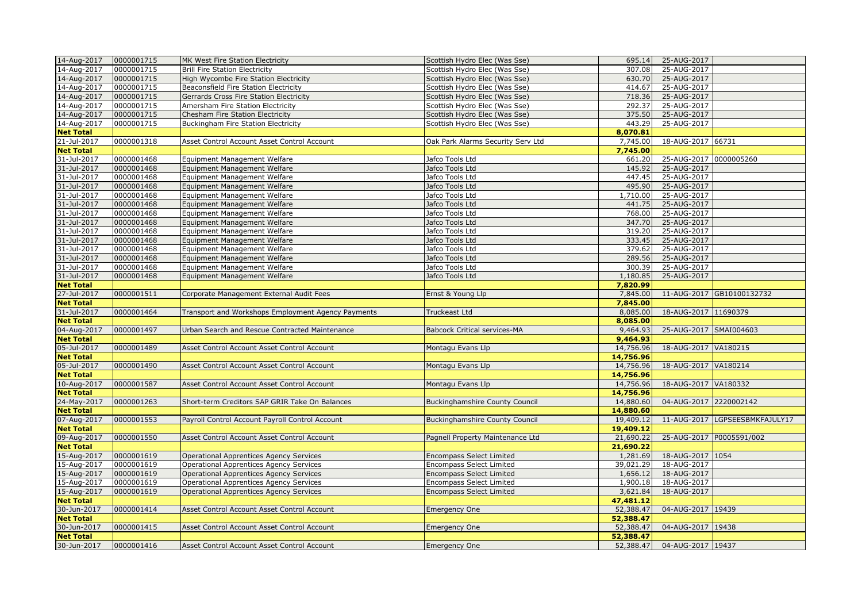| 14-Aug-2017                     | 0000001715 | MK West Fire Station Electricity                   | Scottish Hydro Elec (Was Sse)         | 695.14                 | 25-AUG-2017            |                                |
|---------------------------------|------------|----------------------------------------------------|---------------------------------------|------------------------|------------------------|--------------------------------|
| 14-Aug-2017                     | 0000001715 | <b>Brill Fire Station Electricity</b>              | Scottish Hydro Elec (Was Sse)         | 307.08                 | 25-AUG-2017            |                                |
| 14-Aug-2017                     | 0000001715 | High Wycombe Fire Station Electricity              | Scottish Hydro Elec (Was Sse)         | 630.70                 | 25-AUG-2017            |                                |
| 14-Aug-2017                     | 0000001715 | Beaconsfield Fire Station Electricity              | Scottish Hydro Elec (Was Sse)         | 414.67                 | 25-AUG-2017            |                                |
| 14-Aug-2017                     | 0000001715 | Gerrards Cross Fire Station Electricity            | Scottish Hydro Elec (Was Sse)         | 718.36                 | 25-AUG-2017            |                                |
| 14-Aug-2017                     | 0000001715 | Amersham Fire Station Electricity                  | Scottish Hydro Elec (Was Sse)         | 292.37                 | 25-AUG-2017            |                                |
| 14-Aug-2017                     | 0000001715 | Chesham Fire Station Electricity                   | Scottish Hydro Elec (Was Sse)         | 375.50                 | 25-AUG-2017            |                                |
| 14-Aug-2017                     | 0000001715 | Buckingham Fire Station Electricity                | Scottish Hydro Elec (Was Sse)         | 443.29                 | 25-AUG-2017            |                                |
| <b>Net Total</b>                |            |                                                    |                                       | 8,070.81               |                        |                                |
| 21-Jul-2017                     | 0000001318 | Asset Control Account Asset Control Account        | Oak Park Alarms Security Serv Ltd     | 7,745.00               | 18-AUG-2017 66731      |                                |
| <b>Net Total</b>                |            |                                                    |                                       | 7,745.00               |                        |                                |
| 31-Jul-2017                     | 0000001468 | Equipment Management Welfare                       | Jafco Tools Ltd                       | 661.20                 | 25-AUG-2017 0000005260 |                                |
| 31-Jul-2017                     | 0000001468 | Equipment Management Welfare                       | Jafco Tools Ltd                       | 145.92                 | 25-AUG-2017            |                                |
| 31-Jul-2017                     | 0000001468 | Equipment Management Welfare                       | Jafco Tools Ltd                       | 447.45                 | 25-AUG-2017            |                                |
| 31-Jul-2017                     | 0000001468 | Equipment Management Welfare                       | Jafco Tools Ltd                       | 495.90                 | 25-AUG-2017            |                                |
| 31-Jul-2017                     | 0000001468 | Equipment Management Welfare                       | Jafco Tools Ltd                       | 1,710.00               | 25-AUG-2017            |                                |
| 31-Jul-2017                     | 0000001468 | Equipment Management Welfare                       | Jafco Tools Ltd                       | 441.75                 | 25-AUG-2017            |                                |
| 31-Jul-2017                     | 0000001468 | Equipment Management Welfare                       | Jafco Tools Ltd                       | 768.00                 | 25-AUG-2017            |                                |
| 31-Jul-2017                     | 0000001468 | Equipment Management Welfare                       | Jafco Tools Ltd                       | 347.70                 | 25-AUG-2017            |                                |
| 31-Jul-2017                     | 0000001468 | Equipment Management Welfare                       | Jafco Tools Ltd                       | 319.20                 | 25-AUG-2017            |                                |
| 31-Jul-2017                     | 0000001468 | Equipment Management Welfare                       | Jafco Tools Ltd                       | 333.45                 | 25-AUG-2017            |                                |
| 31-Jul-2017                     | 0000001468 | Equipment Management Welfare                       | Jafco Tools Ltd                       | 379.62                 | 25-AUG-2017            |                                |
| 31-Jul-2017                     | 0000001468 | Equipment Management Welfare                       | Jafco Tools Ltd                       | 289.56                 | 25-AUG-2017            |                                |
| 31-Jul-2017                     | 0000001468 | Equipment Management Welfare                       | Jafco Tools Ltd                       | 300.39                 | 25-AUG-2017            |                                |
| 31-Jul-2017                     | 0000001468 | <b>Equipment Management Welfare</b>                | Jafco Tools Ltd                       | 1,180.85               | 25-AUG-2017            |                                |
| <b>Net Total</b>                |            |                                                    |                                       | 7,820.99               |                        |                                |
| 27-Jul-2017                     | 0000001511 | Corporate Management External Audit Fees           | Ernst & Young Llp                     | 7,845.00               |                        | 11-AUG-2017 GB10100132732      |
| <b>Net Total</b>                |            |                                                    |                                       | 7,845.00               |                        |                                |
| 31-Jul-2017                     | 0000001464 | Transport and Workshops Employment Agency Payments | <b>Truckeast Ltd</b>                  | 8,085.00               | 18-AUG-2017 11690379   |                                |
| <b>Net Total</b>                |            |                                                    |                                       | 8,085.00               |                        |                                |
| 04-Aug-2017                     | 0000001497 | Urban Search and Rescue Contracted Maintenance     | <b>Babcock Critical services-MA</b>   | 9,464.93               | 25-AUG-2017 SMAI004603 |                                |
| <b>Net Total</b>                |            |                                                    |                                       | 9,464.93               |                        |                                |
| 05-Jul-2017                     | 0000001489 | Asset Control Account Asset Control Account        | Montagu Evans Llp                     | 14,756.96              | 18-AUG-2017 VA180215   |                                |
| <b>Net Total</b><br>05-Jul-2017 | 0000001490 |                                                    |                                       | 14,756.96<br>14,756.96 |                        |                                |
| <b>Net Total</b>                |            | Asset Control Account Asset Control Account        | Montagu Evans Llp                     | 14,756.96              | 18-AUG-2017 VA180214   |                                |
| 10-Aug-2017                     | 0000001587 | Asset Control Account Asset Control Account        | Montagu Evans Llp                     | 14,756.96              | 18-AUG-2017 VA180332   |                                |
| <b>Net Total</b>                |            |                                                    |                                       | 14,756.96              |                        |                                |
| 24-May-2017                     | 0000001263 | Short-term Creditors SAP GRIR Take On Balances     | <b>Buckinghamshire County Council</b> | 14,880.60              | 04-AUG-2017 2220002142 |                                |
| <b>Net Total</b>                |            |                                                    |                                       | 14,880.60              |                        |                                |
| 07-Aug-2017                     | 0000001553 | Payroll Control Account Payroll Control Account    | <b>Buckinghamshire County Council</b> | 19,409.12              |                        | 11-AUG-2017 LGPSEESBMKFAJULY17 |
| <b>Net Total</b>                |            |                                                    |                                       | 19,409.12              |                        |                                |
| 09-Aug-2017                     | 0000001550 | Asset Control Account Asset Control Account        | Pagnell Property Maintenance Ltd      | 21,690.22              |                        | 25-AUG-2017 P0005591/002       |
| <b>Net Total</b>                |            |                                                    |                                       | 21,690.22              |                        |                                |
| 15-Aug-2017                     | 0000001619 | <b>Operational Apprentices Agency Services</b>     | <b>Encompass Select Limited</b>       | 1,281.69               | 18-AUG-2017 1054       |                                |
| 15-Aug-2017                     | 0000001619 | <b>Operational Apprentices Agency Services</b>     | <b>Encompass Select Limited</b>       | 39,021.29              | 18-AUG-2017            |                                |
| 15-Aug-2017                     | 0000001619 | <b>Operational Apprentices Agency Services</b>     | <b>Encompass Select Limited</b>       | 1,656.12               | 18-AUG-2017            |                                |
| 15-Aug-2017                     | 0000001619 | Operational Apprentices Agency Services            | <b>Encompass Select Limited</b>       | 1,900.18               | 18-AUG-2017            |                                |
| 15-Aug-2017                     | 0000001619 | <b>Operational Apprentices Agency Services</b>     | <b>Encompass Select Limited</b>       | 3,621.84               | 18-AUG-2017            |                                |
| <b>Net Total</b>                |            |                                                    |                                       | 47,481.12              |                        |                                |
| 30-Jun-2017                     | 0000001414 | Asset Control Account Asset Control Account        | <b>Emergency One</b>                  | 52,388.47              | 04-AUG-2017 19439      |                                |
| <b>Net Total</b>                |            |                                                    |                                       | 52,388.47              |                        |                                |
| 30-Jun-2017                     | 0000001415 | Asset Control Account Asset Control Account        | <b>Emergency One</b>                  | 52,388.47              | 04-AUG-2017 19438      |                                |
| <b>Net Total</b>                |            |                                                    |                                       | 52,388.47              |                        |                                |
| 30-Jun-2017                     | 0000001416 | Asset Control Account Asset Control Account        | <b>Emergency One</b>                  | 52,388.47              | 04-AUG-2017 19437      |                                |